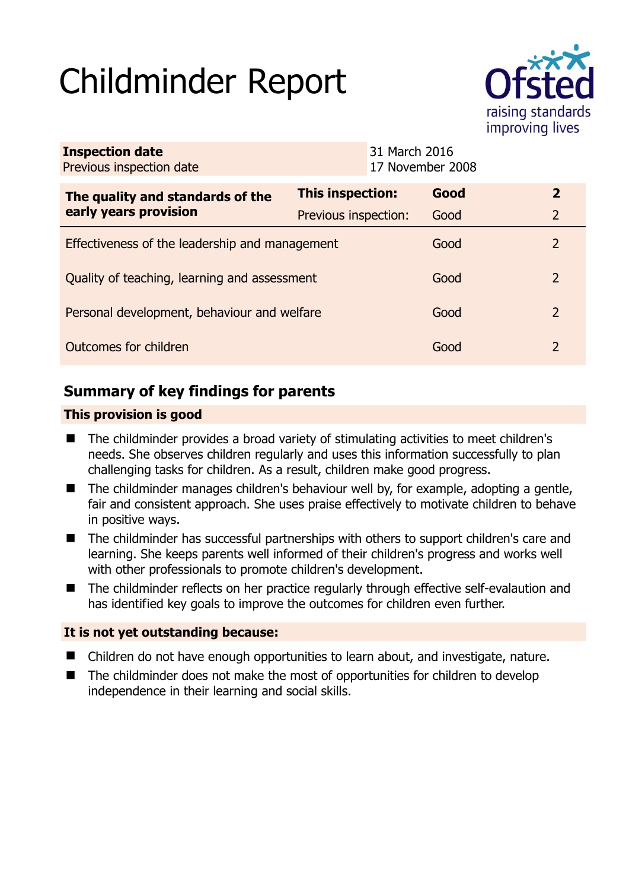# Childminder Report



| <b>Inspection date</b><br>Previous inspection date        |                         | 31 March 2016<br>17 November 2008 |                |
|-----------------------------------------------------------|-------------------------|-----------------------------------|----------------|
| The quality and standards of the<br>early years provision | <b>This inspection:</b> | Good                              | $\overline{2}$ |
|                                                           | Previous inspection:    | Good                              | $\overline{2}$ |
| Effectiveness of the leadership and management            |                         | Good                              | 2              |
| Quality of teaching, learning and assessment              |                         | Good                              | $\mathcal{P}$  |
| Personal development, behaviour and welfare               |                         | Good                              | 2              |
| Outcomes for children                                     |                         | Good                              | $\mathcal{P}$  |

# **Summary of key findings for parents**

## **This provision is good**

- The childminder provides a broad variety of stimulating activities to meet children's needs. She observes children regularly and uses this information successfully to plan challenging tasks for children. As a result, children make good progress.
- The childminder manages children's behaviour well by, for example, adopting a gentle, fair and consistent approach. She uses praise effectively to motivate children to behave in positive ways.
- The childminder has successful partnerships with others to support children's care and learning. She keeps parents well informed of their children's progress and works well with other professionals to promote children's development.
- The childminder reflects on her practice regularly through effective self-evalaution and has identified key goals to improve the outcomes for children even further.

## **It is not yet outstanding because:**

- Children do not have enough opportunities to learn about, and investigate, nature.
- The childminder does not make the most of opportunities for children to develop independence in their learning and social skills.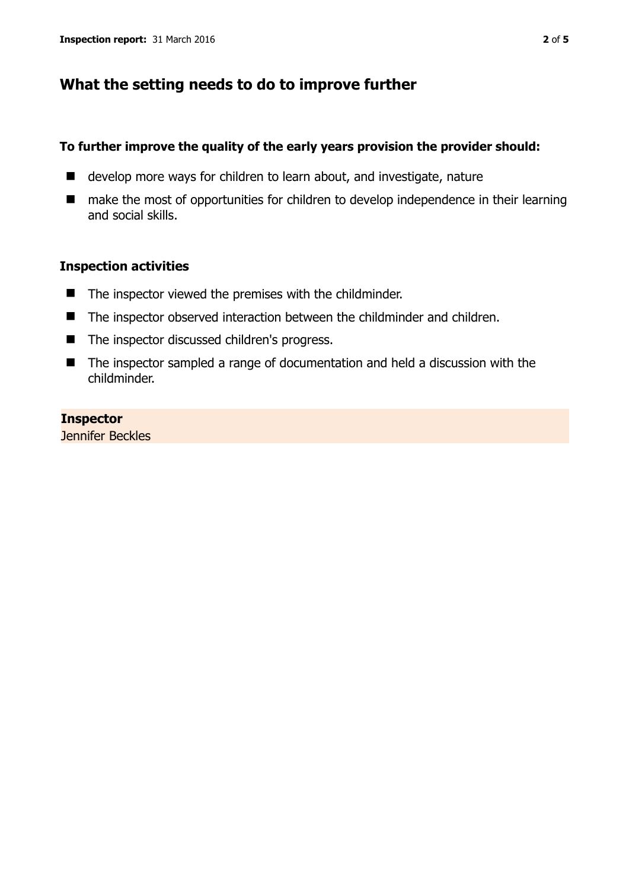## **What the setting needs to do to improve further**

#### **To further improve the quality of the early years provision the provider should:**

- develop more ways for children to learn about, and investigate, nature
- make the most of opportunities for children to develop independence in their learning and social skills.

### **Inspection activities**

- $\blacksquare$  The inspector viewed the premises with the childminder.
- The inspector observed interaction between the childminder and children.
- The inspector discussed children's progress.
- The inspector sampled a range of documentation and held a discussion with the childminder.

### **Inspector**

Jennifer Beckles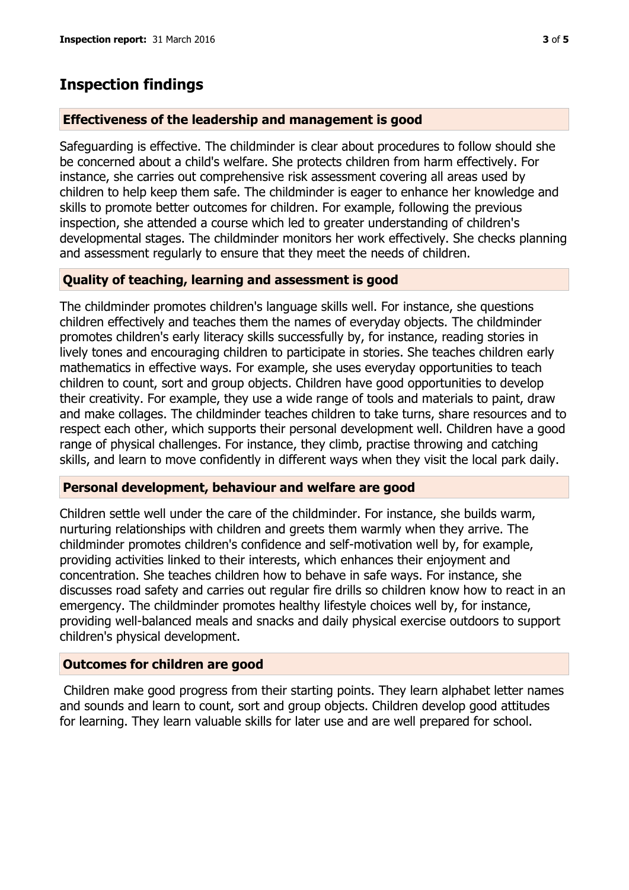## **Inspection findings**

#### **Effectiveness of the leadership and management is good**

Safeguarding is effective. The childminder is clear about procedures to follow should she be concerned about a child's welfare. She protects children from harm effectively. For instance, she carries out comprehensive risk assessment covering all areas used by children to help keep them safe. The childminder is eager to enhance her knowledge and skills to promote better outcomes for children. For example, following the previous inspection, she attended a course which led to greater understanding of children's developmental stages. The childminder monitors her work effectively. She checks planning and assessment regularly to ensure that they meet the needs of children.

#### **Quality of teaching, learning and assessment is good**

The childminder promotes children's language skills well. For instance, she questions children effectively and teaches them the names of everyday objects. The childminder promotes children's early literacy skills successfully by, for instance, reading stories in lively tones and encouraging children to participate in stories. She teaches children early mathematics in effective ways. For example, she uses everyday opportunities to teach children to count, sort and group objects. Children have good opportunities to develop their creativity. For example, they use a wide range of tools and materials to paint, draw and make collages. The childminder teaches children to take turns, share resources and to respect each other, which supports their personal development well. Children have a good range of physical challenges. For instance, they climb, practise throwing and catching skills, and learn to move confidently in different ways when they visit the local park daily.

#### **Personal development, behaviour and welfare are good**

Children settle well under the care of the childminder. For instance, she builds warm, nurturing relationships with children and greets them warmly when they arrive. The childminder promotes children's confidence and self-motivation well by, for example, providing activities linked to their interests, which enhances their enjoyment and concentration. She teaches children how to behave in safe ways. For instance, she discusses road safety and carries out regular fire drills so children know how to react in an emergency. The childminder promotes healthy lifestyle choices well by, for instance, providing well-balanced meals and snacks and daily physical exercise outdoors to support children's physical development.

#### **Outcomes for children are good**

Children make good progress from their starting points. They learn alphabet letter names and sounds and learn to count, sort and group objects. Children develop good attitudes for learning. They learn valuable skills for later use and are well prepared for school.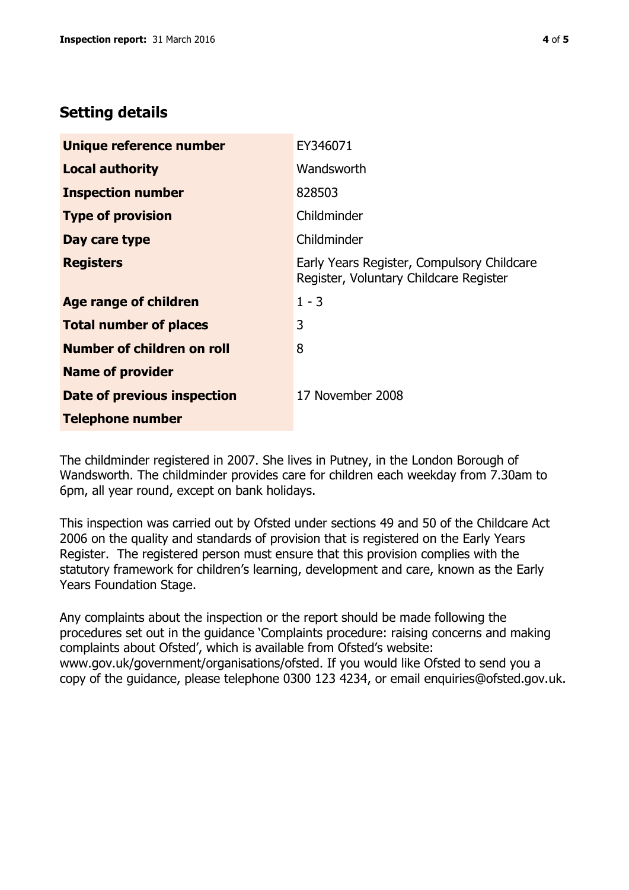# **Setting details**

| Unique reference number       | EY346071                                                                             |  |
|-------------------------------|--------------------------------------------------------------------------------------|--|
| <b>Local authority</b>        | Wandsworth                                                                           |  |
| <b>Inspection number</b>      | 828503                                                                               |  |
| <b>Type of provision</b>      | Childminder                                                                          |  |
| Day care type                 | Childminder                                                                          |  |
| <b>Registers</b>              | Early Years Register, Compulsory Childcare<br>Register, Voluntary Childcare Register |  |
| <b>Age range of children</b>  | $1 - 3$                                                                              |  |
| <b>Total number of places</b> | 3                                                                                    |  |
| Number of children on roll    | 8                                                                                    |  |
| <b>Name of provider</b>       |                                                                                      |  |
| Date of previous inspection   | 17 November 2008                                                                     |  |
| <b>Telephone number</b>       |                                                                                      |  |

The childminder registered in 2007. She lives in Putney, in the London Borough of Wandsworth. The childminder provides care for children each weekday from 7.30am to 6pm, all year round, except on bank holidays.

This inspection was carried out by Ofsted under sections 49 and 50 of the Childcare Act 2006 on the quality and standards of provision that is registered on the Early Years Register. The registered person must ensure that this provision complies with the statutory framework for children's learning, development and care, known as the Early Years Foundation Stage.

Any complaints about the inspection or the report should be made following the procedures set out in the guidance 'Complaints procedure: raising concerns and making complaints about Ofsted', which is available from Ofsted's website: www.gov.uk/government/organisations/ofsted. If you would like Ofsted to send you a copy of the guidance, please telephone 0300 123 4234, or email enquiries@ofsted.gov.uk.